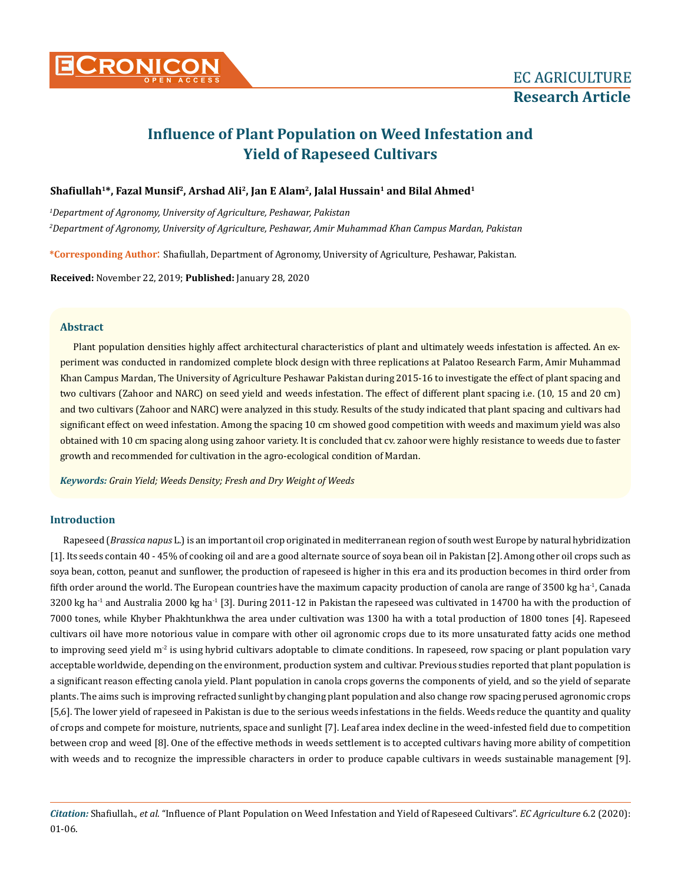

# **Influence of Plant Population on Weed Infestation and Yield of Rapeseed Cultivars**

# **Shafiullah<sup>1</sup>\*, Fazal Munsif<sup>2</sup>, Arshad Ali2, Jan E Alam2, Jalal Hussain<sup>1</sup> and Bilal Ahmed<sup>1</sup>**

*1 Department of Agronomy, University of Agriculture, Peshawar, Pakistan 2 Department of Agronomy, University of Agriculture, Peshawar, Amir Muhammad Khan Campus Mardan, Pakistan*

**\*Corresponding Author**: Shafiullah, Department of Agronomy, University of Agriculture, Peshawar, Pakistan.

**Received:** November 22, 2019; **Published:** January 28, 2020

### **Abstract**

Plant population densities highly affect architectural characteristics of plant and ultimately weeds infestation is affected. An experiment was conducted in randomized complete block design with three replications at Palatoo Research Farm, Amir Muhammad Khan Campus Mardan, The University of Agriculture Peshawar Pakistan during 2015-16 to investigate the effect of plant spacing and two cultivars (Zahoor and NARC) on seed yield and weeds infestation. The effect of different plant spacing i.e. (10, 15 and 20 cm) and two cultivars (Zahoor and NARC) were analyzed in this study. Results of the study indicated that plant spacing and cultivars had significant effect on weed infestation. Among the spacing 10 cm showed good competition with weeds and maximum yield was also obtained with 10 cm spacing along using zahoor variety. It is concluded that cv. zahoor were highly resistance to weeds due to faster growth and recommended for cultivation in the agro-ecological condition of Mardan.

*Keywords: Grain Yield; Weeds Density; Fresh and Dry Weight of Weeds*

## **Introduction**

Rapeseed (*Brassica napus* L.) is an important oil crop originated in mediterranean region of south west Europe by natural hybridization [1]. Its seeds contain 40 - 45% of cooking oil and are a good alternate source of soya bean oil in Pakistan [2]. Among other oil crops such as soya bean, cotton, peanut and sunflower, the production of rapeseed is higher in this era and its production becomes in third order from fifth order around the world. The European countries have the maximum capacity production of canola are range of 3500 kg ha<sup>-1</sup>, Canada 3200 kg ha<sup>-1</sup> and Australia 2000 kg ha<sup>-1</sup> [3]. During 2011-12 in Pakistan the rapeseed was cultivated in 14700 ha with the production of 7000 tones, while Khyber Phakhtunkhwa the area under cultivation was 1300 ha with a total production of 1800 tones [4]. Rapeseed cultivars oil have more notorious value in compare with other oil agronomic crops due to its more unsaturated fatty acids one method to improving seed yield  $m^2$  is using hybrid cultivars adoptable to climate conditions. In rapeseed, row spacing or plant population vary acceptable worldwide, depending on the environment, production system and cultivar. Previous studies reported that plant population is a significant reason effecting canola yield. Plant population in canola crops governs the components of yield, and so the yield of separate plants. The aims such is improving refracted sunlight by changing plant population and also change row spacing perused agronomic crops [5,6]. The lower yield of rapeseed in Pakistan is due to the serious weeds infestations in the fields. Weeds reduce the quantity and quality of crops and compete for moisture, nutrients, space and sunlight [7]. Leaf area index decline in the weed-infested field due to competition between crop and weed [8]. One of the effective methods in weeds settlement is to accepted cultivars having more ability of competition with weeds and to recognize the impressible characters in order to produce capable cultivars in weeds sustainable management [9].

*Citation:* Shafiullah., *et al*. "Influence of Plant Population on Weed Infestation and Yield of Rapeseed Cultivars". *EC Agriculture* 6.2 (2020): 01-06.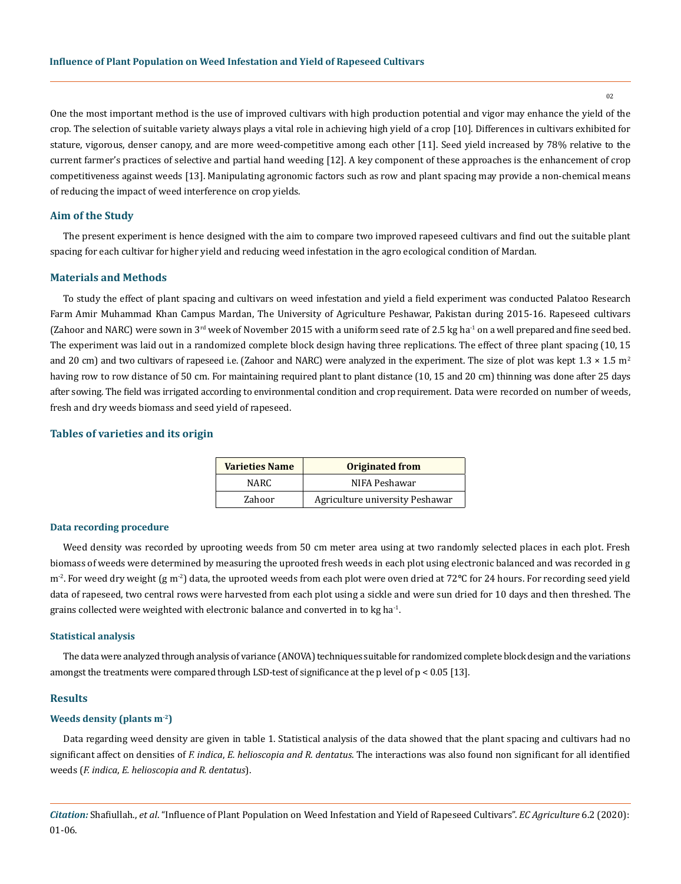$02$ 

One the most important method is the use of improved cultivars with high production potential and vigor may enhance the yield of the crop. The selection of suitable variety always plays a vital role in achieving high yield of a crop [10]. Differences in cultivars exhibited for stature, vigorous, denser canopy, and are more weed-competitive among each other [11]. Seed yield increased by 78% relative to the current farmer's practices of selective and partial hand weeding [12]. A key component of these approaches is the enhancement of crop competitiveness against weeds [13]. Manipulating agronomic factors such as row and plant spacing may provide a non-chemical means of reducing the impact of weed interference on crop yields.

#### **Aim of the Study**

The present experiment is hence designed with the aim to compare two improved rapeseed cultivars and find out the suitable plant spacing for each cultivar for higher yield and reducing weed infestation in the agro ecological condition of Mardan.

#### **Materials and Methods**

To study the effect of plant spacing and cultivars on weed infestation and yield a field experiment was conducted Palatoo Research Farm Amir Muhammad Khan Campus Mardan, The University of Agriculture Peshawar, Pakistan during 2015-16. Rapeseed cultivars (Zahoor and NARC) were sown in  $3<sup>rd</sup>$  week of November 2015 with a uniform seed rate of 2.5 kg ha<sup>-1</sup> on a well prepared and fine seed bed. The experiment was laid out in a randomized complete block design having three replications. The effect of three plant spacing (10, 15 and 20 cm) and two cultivars of rapeseed i.e. (Zahoor and NARC) were analyzed in the experiment. The size of plot was kept  $1.3 \times 1.5$  m<sup>2</sup> having row to row distance of 50 cm. For maintaining required plant to plant distance (10, 15 and 20 cm) thinning was done after 25 days after sowing. The field was irrigated according to environmental condition and crop requirement. Data were recorded on number of weeds, fresh and dry weeds biomass and seed yield of rapeseed.

# **Tables of varieties and its origin**

| <b>Varieties Name</b> | <b>Originated from</b>          |  |
|-----------------------|---------------------------------|--|
| NARC.                 | NIFA Peshawar                   |  |
| Zahoor                | Agriculture university Peshawar |  |

#### **Data recording procedure**

Weed density was recorded by uprooting weeds from 50 cm meter area using at two randomly selected places in each plot. Fresh biomass of weeds were determined by measuring the uprooted fresh weeds in each plot using electronic balanced and was recorded in g m<sup>-2</sup>. For weed dry weight (g m<sup>-2</sup>) data, the uprooted weeds from each plot were oven dried at 72°C for 24 hours. For recording seed yield data of rapeseed, two central rows were harvested from each plot using a sickle and were sun dried for 10 days and then threshed. The grains collected were weighted with electronic balance and converted in to kg ha<sup>-1</sup>.

#### **Statistical analysis**

The data were analyzed through analysis of variance (ANOVA) techniques suitable for randomized complete block design and the variations amongst the treatments were compared through LSD-test of significance at the p level of p < 0.05 [13].

#### **Results**

### **Weeds density (plants m-2)**

Data regarding weed density are given in table 1. Statistical analysis of the data showed that the plant spacing and cultivars had no significant affect on densities of *F. indica*, *E. helioscopia and R. dentatus*. The interactions was also found non significant for all identified weeds (*F. indica*, *E. helioscopia and R. dentatus*).

*Citation:* Shafiullah., *et al*. "Influence of Plant Population on Weed Infestation and Yield of Rapeseed Cultivars". *EC Agriculture* 6.2 (2020): 01-06.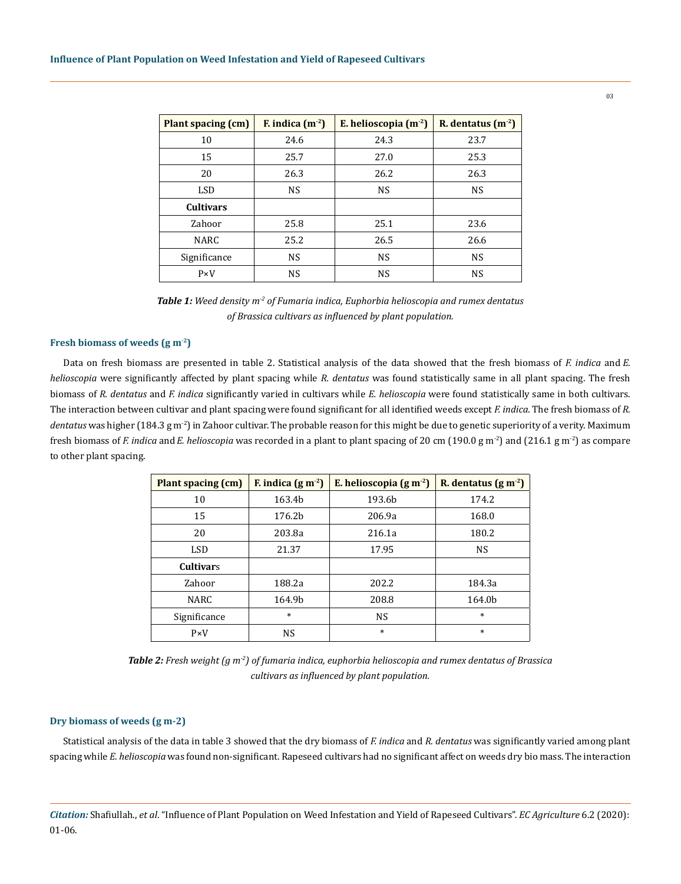| Plant spacing (cm) | F. indica $(m-2)$ | E. helioscopia $(m-2)$ | R. dentatus $(m-2)$ |
|--------------------|-------------------|------------------------|---------------------|
| 10                 | 24.6              | 24.3                   | 23.7                |
| 15                 | 25.7              | 27.0                   | 25.3                |
| 20                 | 26.3              | 26.2                   | 26.3                |
| <b>LSD</b>         | <b>NS</b>         | <b>NS</b>              | <b>NS</b>           |
| <b>Cultivars</b>   |                   |                        |                     |
| Zahoor             | 25.8              | 25.1                   | 23.6                |
| NARC               | 25.2              | 26.5                   | 26.6                |
| Significance       | <b>NS</b>         | <b>NS</b>              | <b>NS</b>           |
| $P \times V$       | NS                | <b>NS</b>              | <b>NS</b>           |

*Table 1: Weed density m-2 of Fumaria indica, Euphorbia helioscopia and rumex dentatus of Brassica cultivars as influenced by plant population.*

### **Fresh biomass of weeds (g m-2)**

Data on fresh biomass are presented in table 2. Statistical analysis of the data showed that the fresh biomass of *F. indica* and *E. helioscopia* were significantly affected by plant spacing while *R. dentatus* was found statistically same in all plant spacing. The fresh biomass of *R. dentatus* and *F. indica* significantly varied in cultivars while *E. helioscopia* were found statistically same in both cultivars. The interaction between cultivar and plant spacing were found significant for all identified weeds except *F. indica*. The fresh biomass of *R.*  dentatus was higher (184.3 g m<sup>-2</sup>) in Zahoor cultivar. The probable reason for this might be due to genetic superiority of a verity. Maximum fresh biomass of *F. indica* and*E. helioscopia* was recorded in a plant to plant spacing of 20 cm (190.0 g m-2) and (216.1 g m-2) as compare to other plant spacing.

| Plant spacing (cm) | F. indica $(g m-2)$ | E. helioscopia $(g m-2)$ | R. dentatus $(g m-2)$ |
|--------------------|---------------------|--------------------------|-----------------------|
| 10                 | 163.4b              | 193.6b                   | 174.2                 |
| 15                 | 176.2b              | 206.9a                   | 168.0                 |
| 20                 | 203.8a              | 216.1a                   | 180.2                 |
| <b>LSD</b>         | 21.37               | 17.95                    | <b>NS</b>             |
| <b>Cultivars</b>   |                     |                          |                       |
| Zahoor             | 188.2a              | 202.2                    | 184.3a                |
| <b>NARC</b>        | 164.9b              | 208.8                    | 164.0b                |
| Significance       | $\ast$              | <b>NS</b>                | $\ast$                |
| $P \times V$       | <b>NS</b>           | $\ast$                   | $\ast$                |

*Table 2: Fresh weight (g m-2) of fumaria indica, euphorbia helioscopia and rumex dentatus of Brassica cultivars as influenced by plant population.* 

## **Dry biomass of weeds (g m-2)**

Statistical analysis of the data in table 3 showed that the dry biomass of *F. indica* and *R. dentatus* was significantly varied among plant spacing while *E. helioscopia* was found non-significant. Rapeseed cultivars had no significant affect on weeds dry bio mass. The interaction

*Citation:* Shafiullah., *et al*. "Influence of Plant Population on Weed Infestation and Yield of Rapeseed Cultivars". *EC Agriculture* 6.2 (2020): 01-06.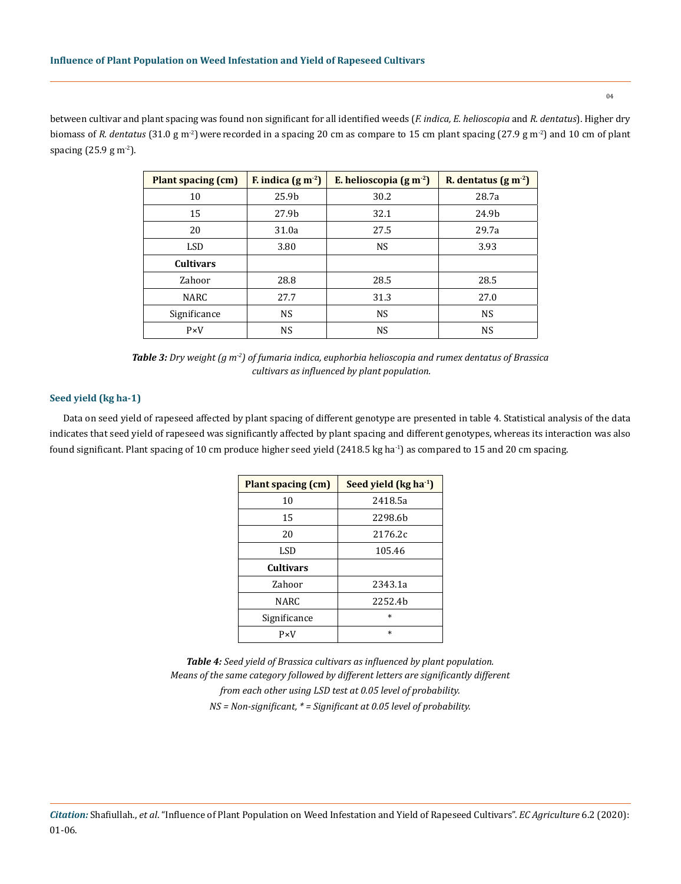between cultivar and plant spacing was found non significant for all identified weeds (*F. indica, E. helioscopia* and *R. dentatus*). Higher dry biomass of *R. dentatus* (31.0 g m<sup>-2</sup>) were recorded in a spacing 20 cm as compare to 15 cm plant spacing (27.9 g m<sup>-2</sup>) and 10 cm of plant spacing  $(25.9 g m<sup>-2</sup>)$ .

| <b>Plant spacing (cm)</b> | F. indica $(g m-2)$ | E. helioscopia $(g m-2)$ | R. dentatus $(g m-2)$ |
|---------------------------|---------------------|--------------------------|-----------------------|
| 10                        | 25.9 <sub>b</sub>   | 30.2                     | 28.7a                 |
| 15                        | 27.9b               | 32.1                     | 24.9b                 |
| 20                        | 31.0a               | 27.5                     | 29.7a                 |
| <b>LSD</b>                | 3.80                | <b>NS</b>                | 3.93                  |
| <b>Cultivars</b>          |                     |                          |                       |
| Zahoor                    | 28.8                | 28.5                     | 28.5                  |
| <b>NARC</b>               | 27.7                | 31.3                     | 27.0                  |
| Significance              | <b>NS</b>           | <b>NS</b>                | <b>NS</b>             |
| $P \times V$              | <b>NS</b>           | <b>NS</b>                | <b>NS</b>             |

*Table 3: Dry weight (g m-2) of fumaria indica, euphorbia helioscopia and rumex dentatus of Brassica cultivars as influenced by plant population.*

# **Seed yield (kg ha-1)**

Data on seed yield of rapeseed affected by plant spacing of different genotype are presented in table 4. Statistical analysis of the data indicates that seed yield of rapeseed was significantly affected by plant spacing and different genotypes, whereas its interaction was also found significant. Plant spacing of 10 cm produce higher seed yield  $(2418.5 \text{ kg ha}^{-1})$  as compared to 15 and 20 cm spacing.

| <b>Plant spacing (cm)</b> | Seed yield $(kg ha-1)$ |  |
|---------------------------|------------------------|--|
| 10                        | 2418.5a                |  |
| 15                        | 2298.6b                |  |
| 20                        | 2176.2c                |  |
| LSD                       | 105.46                 |  |
| <b>Cultivars</b>          |                        |  |
| Zahoor                    | 2343.1a                |  |
| NARC                      | 2252.4b                |  |
| Significance              | $\ast$                 |  |
| $P \times V$              | $\ast$                 |  |

*Table 4: Seed yield of Brassica cultivars as influenced by plant population. Means of the same category followed by different letters are significantly different from each other using LSD test at 0.05 level of probability. NS = Non-significant, \* = Significant at 0.05 level of probability.* 

*Citation:* Shafiullah., *et al*. "Influence of Plant Population on Weed Infestation and Yield of Rapeseed Cultivars". *EC Agriculture* 6.2 (2020): 01-06.

04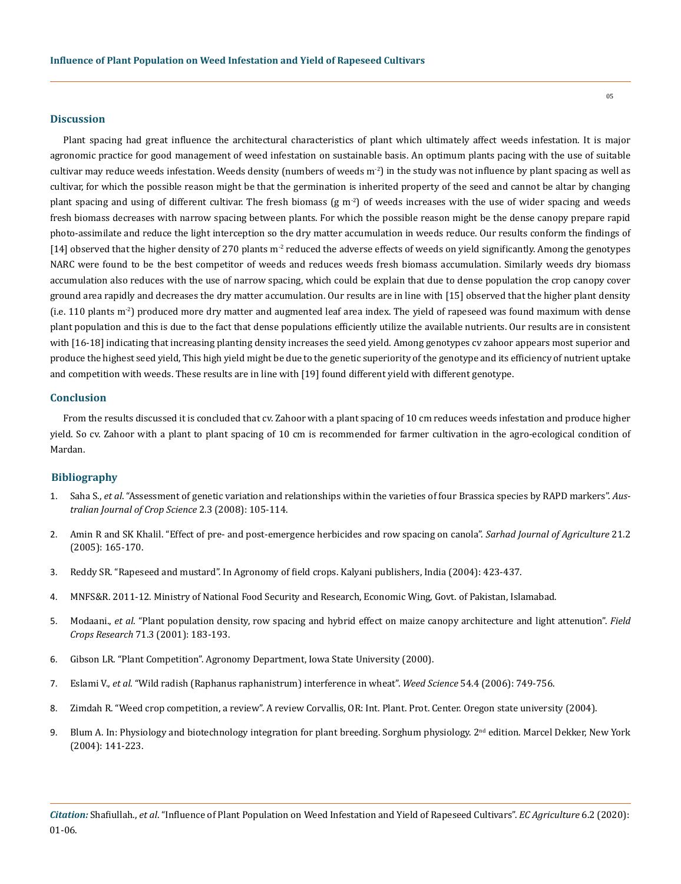#### **Discussion**

Plant spacing had great influence the architectural characteristics of plant which ultimately affect weeds infestation. It is major agronomic practice for good management of weed infestation on sustainable basis. An optimum plants pacing with the use of suitable cultivar may reduce weeds infestation. Weeds density (numbers of weeds  $m<sup>2</sup>$ ) in the study was not influence by plant spacing as well as cultivar, for which the possible reason might be that the germination is inherited property of the seed and cannot be altar by changing plant spacing and using of different cultivar. The fresh biomass (g  $m<sup>2</sup>$ ) of weeds increases with the use of wider spacing and weeds fresh biomass decreases with narrow spacing between plants. For which the possible reason might be the dense canopy prepare rapid photo-assimilate and reduce the light interception so the dry matter accumulation in weeds reduce. Our results conform the findings of [14] observed that the higher density of 270 plants  $m^2$  reduced the adverse effects of weeds on yield significantly. Among the genotypes NARC were found to be the best competitor of weeds and reduces weeds fresh biomass accumulation. Similarly weeds dry biomass accumulation also reduces with the use of narrow spacing, which could be explain that due to dense population the crop canopy cover ground area rapidly and decreases the dry matter accumulation. Our results are in line with [15] observed that the higher plant density (i.e. 110 plants  $m<sup>2</sup>$ ) produced more dry matter and augmented leaf area index. The yield of rapeseed was found maximum with dense plant population and this is due to the fact that dense populations efficiently utilize the available nutrients. Our results are in consistent with [16-18] indicating that increasing planting density increases the seed yield. Among genotypes cv zahoor appears most superior and produce the highest seed yield, This high yield might be due to the genetic superiority of the genotype and its efficiency of nutrient uptake and competition with weeds. These results are in line with [19] found different yield with different genotype.

#### **Conclusion**

From the results discussed it is concluded that cv. Zahoor with a plant spacing of 10 cm reduces weeds infestation and produce higher yield. So cv. Zahoor with a plant to plant spacing of 10 cm is recommended for farmer cultivation in the agro-ecological condition of Mardan.

## **Bibliography**

- 1. Saha S., *et al*[. "Assessment of genetic variation and relationships within the varieties of four Brassica species by RAPD markers".](https://www.researchgate.net/publication/26575953_Asessment_of_genetic_variation_and_relationships_within_the_varieties_of_four_Brassica_species_by_RAPD_markers) *Aus[tralian Journal of Crop Science](https://www.researchgate.net/publication/26575953_Asessment_of_genetic_variation_and_relationships_within_the_varieties_of_four_Brassica_species_by_RAPD_markers)* 2.3 (2008): 105-114.
- 2. [Amin R and SK Khalil. "Effect of pre- and post-emergence herbicides and row spacing on canola".](https://www.researchgate.net/publication/257136810_Effect_of_pre_and_post_emergence_herbicides_and_row_spacing_on_canola) *Sarhad Journal of Agriculture* 21.2 [\(2005\): 165-170.](https://www.researchgate.net/publication/257136810_Effect_of_pre_and_post_emergence_herbicides_and_row_spacing_on_canola)
- 3. Reddy SR. "Rapeseed and mustard". In Agronomy of field crops. Kalyani publishers, India (2004): 423-437.
- 4. MNFS&R. 2011-12. Ministry of National Food Security and Research, Economic Wing, Govt. of Pakistan, Islamabad.
- 5. Modaani., *et al*[. "Plant population density, row spacing and hybrid effect on maize canopy architecture and light attenution".](https://www.sciencedirect.com/science/article/pii/S0378429001001587) *Field Crops Research* [71.3 \(2001\): 183-193.](https://www.sciencedirect.com/science/article/pii/S0378429001001587)
- 6. Gibson LR. "Plant Competition". Agronomy Department, Iowa State University (2000).
- 7. Eslami V., *et al*[. "Wild radish \(Raphanus raphanistrum\) interference in wheat".](https://www.jstor.org/stable/4539458) *Weed Science* 54.4 (2006): 749-756.
- 8. Zimdah R. "Weed crop competition, a review". A review Corvallis, OR: Int. Plant. Prot. Center. Oregon state university (2004).
- 9. Blum A. In: Physiology and biotechnology integration for plant breeding. Sorghum physiology. 2<sup>nd</sup> edition. Marcel Dekker, New York (2004): 141-223.